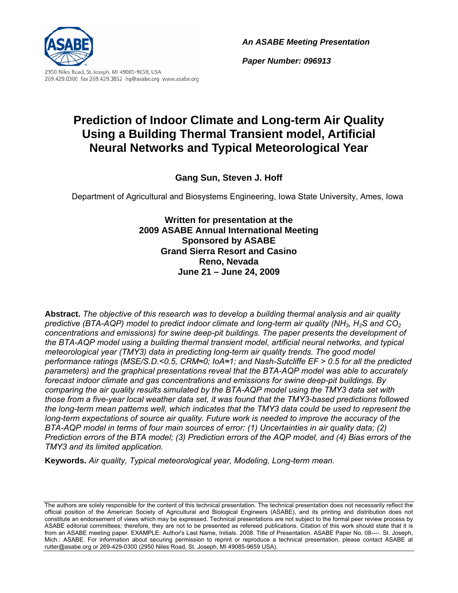

*Paper Number: 096913*

# **Prediction of Indoor Climate and Long-term Air Quality Using a Building Thermal Transient model, Artificial Neural Networks and Typical Meteorological Year**

**Gang Sun, Steven J. Hoff** 

Department of Agricultural and Biosystems Engineering, Iowa State University, Ames, Iowa

**Written for presentation at the 2009 ASABE Annual International Meeting Sponsored by ASABE Grand Sierra Resort and Casino Reno, Nevada June 21 – June 24, 2009** 

**Abstract.** *The objective of this research was to develop a building thermal analysis and air quality predictive (BTA-AQP) model to predict indoor climate and long-term air quality (NH3, H2S and CO2 concentrations and emissions) for swine deep-pit buildings. The paper presents the development of the BTA-AQP model using a building thermal transient model, artificial neural networks, and typical meteorological year (TMY3) data in predicting long-term air quality trends. The good model performance ratings (MSE/S.D.<0.5, CRM≈0; IoA≈1; and Nash-Sutcliffe EF > 0.5 for all the predicted parameters) and the graphical presentations reveal that the BTA-AQP model was able to accurately forecast indoor climate and gas concentrations and emissions for swine deep-pit buildings. By comparing the air quality results simulated by the BTA-AQP model using the TMY3 data set with those from a five-year local weather data set, it was found that the TMY3-based predictions followed the long-term mean patterns well, which indicates that the TMY3 data could be used to represent the long-term expectations of source air quality. Future work is needed to improve the accuracy of the BTA-AQP model in terms of four main sources of error: (1) Uncertainties in air quality data; (2) Prediction errors of the BTA model; (3) Prediction errors of the AQP model, and (4) Bias errors of the TMY3 and its limited application.* 

**Keywords.** *Air quality, Typical meteorological year, Modeling, Long-term mean.* 



2950 Niles Road, St. Joseph, MI 49085-9659, USA 269.429.0300 fax 269.429.3852 hq@asabe.org www.asabe.org

The authors are solely responsible for the content of this technical presentation. The technical presentation does not necessarily reflect the official position of the American Society of Agricultural and Biological Engineers (ASABE), and its printing and distribution does not constitute an endorsement of views which may be expressed. Technical presentations are not subject to the formal peer review process by ASABE editorial committees; therefore, they are not to be presented as refereed publications. Citation of this work should state that it is from an ASABE meeting paper. EXAMPLE: Author's Last Name, Initials. 2008. Title of Presentation. ASABE Paper No. 08----. St. Joseph, Mich.: ASABE. For information about securing permission to reprint or reproduce a technical presentation, please contact ASABE at rutter@asabe.org or 269-429-0300 (2950 Niles Road, St. Joseph, MI 49085-9659 USA).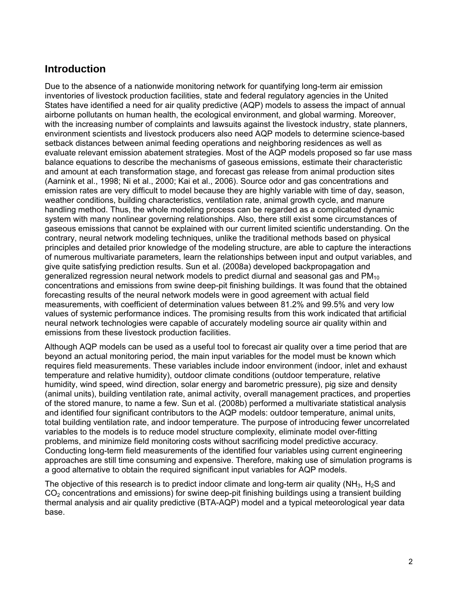## **Introduction**

Due to the absence of a nationwide monitoring network for quantifying long-term air emission inventories of livestock production facilities, state and federal regulatory agencies in the United States have identified a need for air quality predictive (AQP) models to assess the impact of annual airborne pollutants on human health, the ecological environment, and global warming. Moreover, with the increasing number of complaints and lawsuits against the livestock industry, state planners, environment scientists and livestock producers also need AQP models to determine science-based setback distances between animal feeding operations and neighboring residences as well as evaluate relevant emission abatement strategies. Most of the AQP models proposed so far use mass balance equations to describe the mechanisms of gaseous emissions, estimate their characteristic and amount at each transformation stage, and forecast gas release from animal production sites (Aarnink et al., 1998; Ni et al., 2000; Kai et al., 2006). Source odor and gas concentrations and emission rates are very difficult to model because they are highly variable with time of day, season, weather conditions, building characteristics, ventilation rate, animal growth cycle, and manure handling method. Thus, the whole modeling process can be regarded as a complicated dynamic system with many nonlinear governing relationships. Also, there still exist some circumstances of gaseous emissions that cannot be explained with our current limited scientific understanding. On the contrary, neural network modeling techniques, unlike the traditional methods based on physical principles and detailed prior knowledge of the modeling structure, are able to capture the interactions of numerous multivariate parameters, learn the relationships between input and output variables, and give quite satisfying prediction results. Sun et al. (2008a) developed backpropagation and generalized regression neural network models to predict diurnal and seasonal gas and  $PM_{10}$ concentrations and emissions from swine deep-pit finishing buildings. It was found that the obtained forecasting results of the neural network models were in good agreement with actual field measurements, with coefficient of determination values between 81.2% and 99.5% and very low values of systemic performance indices. The promising results from this work indicated that artificial neural network technologies were capable of accurately modeling source air quality within and emissions from these livestock production facilities.

Although AQP models can be used as a useful tool to forecast air quality over a time period that are beyond an actual monitoring period, the main input variables for the model must be known which requires field measurements. These variables include indoor environment (indoor, inlet and exhaust temperature and relative humidity), outdoor climate conditions (outdoor temperature, relative humidity, wind speed, wind direction, solar energy and barometric pressure), pig size and density (animal units), building ventilation rate, animal activity, overall management practices, and properties of the stored manure, to name a few. Sun et al. (2008b) performed a multivariate statistical analysis and identified four significant contributors to the AQP models: outdoor temperature, animal units, total building ventilation rate, and indoor temperature. The purpose of introducing fewer uncorrelated variables to the models is to reduce model structure complexity, eliminate model over-fitting problems, and minimize field monitoring costs without sacrificing model predictive accuracy. Conducting long-term field measurements of the identified four variables using current engineering approaches are still time consuming and expensive. Therefore, making use of simulation programs is a good alternative to obtain the required significant input variables for AQP models.

The objective of this research is to predict indoor climate and long-term air quality ( $NH<sub>3</sub>$ , H<sub>2</sub>S and  $CO<sub>2</sub>$  concentrations and emissions) for swine deep-pit finishing buildings using a transient building thermal analysis and air quality predictive (BTA-AQP) model and a typical meteorological year data base.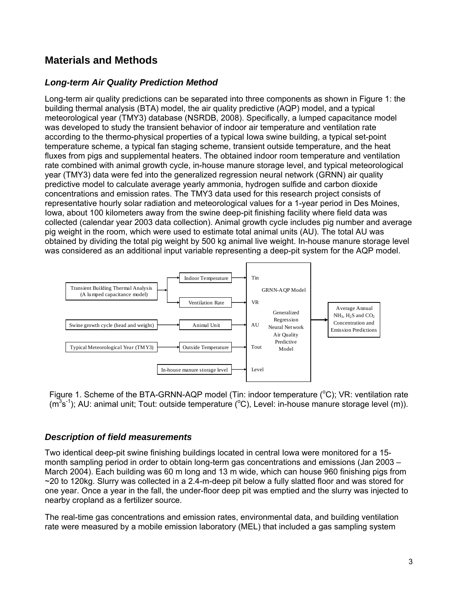## **Materials and Methods**

## *Long-term Air Quality Prediction Method*

Long-term air quality predictions can be separated into three components as shown in Figure 1: the building thermal analysis (BTA) model, the air quality predictive (AQP) model, and a typical meteorological year (TMY3) database (NSRDB, 2008). Specifically, a lumped capacitance model was developed to study the transient behavior of indoor air temperature and ventilation rate according to the thermo-physical properties of a typical Iowa swine building, a typical set-point temperature scheme, a typical fan staging scheme, transient outside temperature, and the heat fluxes from pigs and supplemental heaters. The obtained indoor room temperature and ventilation rate combined with animal growth cycle, in-house manure storage level, and typical meteorological year (TMY3) data were fed into the generalized regression neural network (GRNN) air quality predictive model to calculate average yearly ammonia, hydrogen sulfide and carbon dioxide concentrations and emission rates. The TMY3 data used for this research project consists of representative hourly solar radiation and meteorological values for a 1-year period in Des Moines, Iowa, about 100 kilometers away from the swine deep-pit finishing facility where field data was collected (calendar year 2003 data collection). Animal growth cycle includes pig number and average pig weight in the room, which were used to estimate total animal units (AU). The total AU was obtained by dividing the total pig weight by 500 kg animal live weight. In-house manure storage level was considered as an additional input variable representing a deep-pit system for the AQP model.



Figure 1. Scheme of the BTA-GRNN-AQP model (Tin: indoor temperature (°C); VR: ventilation rate ( $\text{m}^3$ s<sup>-1</sup>); AU: animal unit; Tout: outside temperature (°C), Level: in-house manure storage level (m)).

## *Description of field measurements*

Two identical deep-pit swine finishing buildings located in central Iowa were monitored for a 15 month sampling period in order to obtain long-term gas concentrations and emissions (Jan 2003 – March 2004). Each building was 60 m long and 13 m wide, which can house 960 finishing pigs from ~20 to 120kg. Slurry was collected in a 2.4-m-deep pit below a fully slatted floor and was stored for one year. Once a year in the fall, the under-floor deep pit was emptied and the slurry was injected to nearby cropland as a fertilizer source.

The real-time gas concentrations and emission rates, environmental data, and building ventilation rate were measured by a mobile emission laboratory (MEL) that included a gas sampling system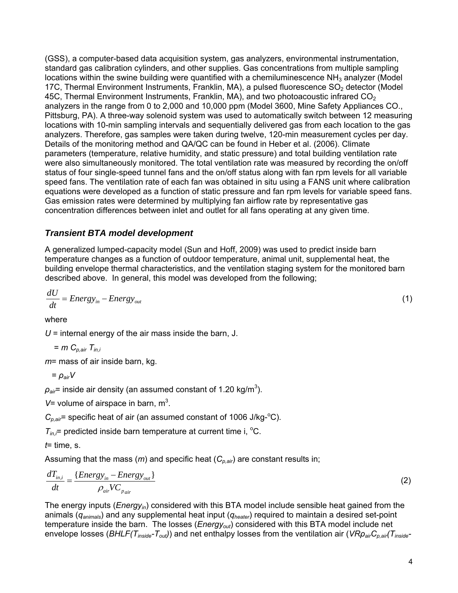(GSS), a computer-based data acquisition system, gas analyzers, environmental instrumentation, standard gas calibration cylinders, and other supplies. Gas concentrations from multiple sampling locations within the swine building were quantified with a chemiluminescence  $NH<sub>3</sub>$  analyzer (Model 17C, Thermal Environment Instruments, Franklin, MA), a pulsed fluorescence SO<sub>2</sub> detector (Model 45C, Thermal Environment Instruments, Franklin, MA), and two photoacoustic infrared  $CO<sub>2</sub>$ analyzers in the range from 0 to 2,000 and 10,000 ppm (Model 3600, Mine Safety Appliances CO., Pittsburg, PA). A three-way solenoid system was used to automatically switch between 12 measuring locations with 10-min sampling intervals and sequentially delivered gas from each location to the gas analyzers. Therefore, gas samples were taken during twelve, 120-min measurement cycles per day. Details of the monitoring method and QA/QC can be found in Heber et al. (2006). Climate parameters (temperature, relative humidity, and static pressure) and total building ventilation rate were also simultaneously monitored. The total ventilation rate was measured by recording the on/off status of four single-speed tunnel fans and the on/off status along with fan rpm levels for all variable speed fans. The ventilation rate of each fan was obtained in situ using a FANS unit where calibration equations were developed as a function of static pressure and fan rpm levels for variable speed fans. Gas emission rates were determined by multiplying fan airflow rate by representative gas concentration differences between inlet and outlet for all fans operating at any given time.

## *Transient BTA model development*

A generalized lumped-capacity model (Sun and Hoff, 2009) was used to predict inside barn temperature changes as a function of outdoor temperature, animal unit, supplemental heat, the building envelope thermal characteristics, and the ventilation staging system for the monitored barn described above. In general, this model was developed from the following;

$$
\frac{dU}{dt} = Energy_{in} - Energy_{out} \tag{1}
$$

where

*U* = internal energy of the air mass inside the barn, J.

$$
= m C_{p,air} T_{in,i}
$$

*m*= mass of air inside barn, kg.

$$
= \rho_{air} V
$$

 $\rho_{\textit{air}}$ = inside air density (an assumed constant of 1.20 kg/m<sup>3</sup>).

 $V =$  volume of airspace in barn,  $m<sup>3</sup>$ .

 $C_{p,air}$  = specific heat of air (an assumed constant of 1006 J/kg- $\rm ^{o}C$ ).

 $T_{in,i}$  predicted inside barn temperature at current time i,  $^{\circ}$ C.

*t*= time, s.

Assuming that the mass (*m*) and specific heat (*Cp,air*) are constant results in;

$$
\frac{dT_{in,i}}{dt} = \frac{\{Energy_{in} - Energy_{out}\}}{\rho_{air}VC_{pair}}
$$
\n(2)

The energy inputs (*Energyin*) considered with this BTA model include sensible heat gained from the animals (*qanimals*) and any supplemental heat input (*qheater*) required to maintain a desired set-point temperature inside the barn. The losses (*Energyout*) considered with this BTA model include net envelope losses (*BHLF(Tinside-Tout)*) and net enthalpy losses from the ventilation air (*VRρairCp,air(Tinside-*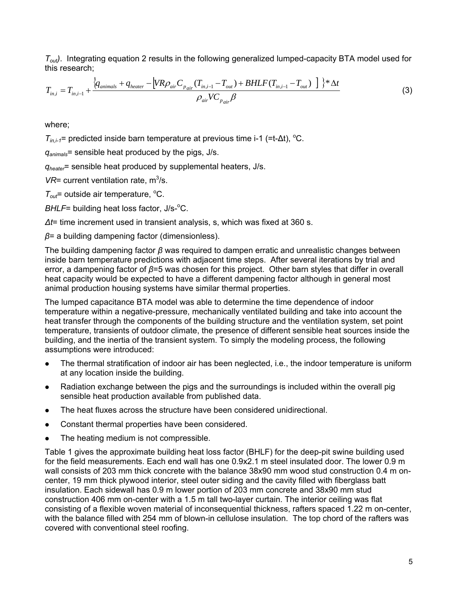*Tout)*. Integrating equation 2 results in the following generalized lumped-capacity BTA model used for this research;

$$
T_{in,i} = T_{in,i-1} + \frac{\left\langle q_{\text{animals}} + q_{\text{heater}} - \left[ VR\rho_{\text{air}}C_{\text{pair}}(T_{in,i-1} - T_{\text{out}}) + BHLF(T_{in,i-1} - T_{\text{out}}) \right] \right\rangle^* \Delta t}{\rho_{\text{air}}VC_{\text{pair}}\beta}
$$
(3)

where;

 $T_{in,i-1}$ = predicted inside barn temperature at previous time i-1 (=t- $\Delta t$ ), °C.

*qanimals*= sensible heat produced by the pigs, J/s.

*qheater*= sensible heat produced by supplemental heaters, J/s.

 $VR =$  current ventilation rate,  $m^3/s$ .

 $T_{out}$ = outside air temperature,  $^{\circ}$ C.

BHLF= building heat loss factor, J/s-<sup>o</sup>C.

*∆t*= time increment used in transient analysis, s, which was fixed at 360 s.

*β*= a building dampening factor (dimensionless).

The building dampening factor *β* was required to dampen erratic and unrealistic changes between inside barn temperature predictions with adjacent time steps. After several iterations by trial and error, a dampening factor of *β*=5 was chosen for this project. Other barn styles that differ in overall heat capacity would be expected to have a different dampening factor although in general most animal production housing systems have similar thermal properties.

The lumped capacitance BTA model was able to determine the time dependence of indoor temperature within a negative-pressure, mechanically ventilated building and take into account the heat transfer through the components of the building structure and the ventilation system, set point temperature, transients of outdoor climate, the presence of different sensible heat sources inside the building, and the inertia of the transient system. To simply the modeling process, the following assumptions were introduced:

- The thermal stratification of indoor air has been neglected, i.e., the indoor temperature is uniform at any location inside the building.
- Radiation exchange between the pigs and the surroundings is included within the overall pig sensible heat production available from published data.
- The heat fluxes across the structure have been considered unidirectional.
- Constant thermal properties have been considered.
- $\bullet$  The heating medium is not compressible.

Table 1 gives the approximate building heat loss factor (BHLF) for the deep-pit swine building used for the field measurements. Each end wall has one 0.9x2.1 m steel insulated door. The lower 0.9 m wall consists of 203 mm thick concrete with the balance 38x90 mm wood stud construction 0.4 m oncenter, 19 mm thick plywood interior, steel outer siding and the cavity filled with fiberglass batt insulation. Each sidewall has 0.9 m lower portion of 203 mm concrete and 38x90 mm stud construction 406 mm on-center with a 1.5 m tall two-layer curtain. The interior ceiling was flat consisting of a flexible woven material of inconsequential thickness, rafters spaced 1.22 m on-center, with the balance filled with 254 mm of blown-in cellulose insulation. The top chord of the rafters was covered with conventional steel roofing.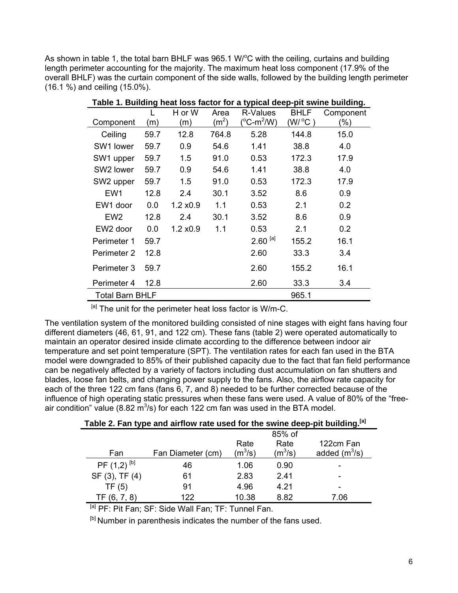As shown in table 1, the total barn BHLF was  $965.1$  W/ $^{\circ}$ C with the ceiling, curtains and building length perimeter accounting for the majority. The maximum heat loss component (17.9% of the overall BHLF) was the curtain component of the side walls, followed by the building length perimeter (16.1 %) and ceiling (15.0%).

| rable 1. Dununiy neat 1055 lactor for a typical deep-pit swine bununiy. |      |                  |                   |                     |                    |           |
|-------------------------------------------------------------------------|------|------------------|-------------------|---------------------|--------------------|-----------|
|                                                                         |      | H or W           | Area              | R-Values            | <b>BHLF</b>        | Component |
| Component                                                               | (m)  | (m)              | (m <sup>2</sup> ) | $(^{\circ}C-m^2/W)$ | $(W/ {}^{\circ}C)$ | $(\%)$    |
| Ceiling                                                                 | 59.7 | 12.8             | 764.8             | 5.28                | 144.8              | 15.0      |
| SW1 lower                                                               | 59.7 | 0.9              | 54.6              | 1.41                | 38.8               | 4.0       |
| SW1 upper                                                               | 59.7 | 1.5              | 91.0              | 0.53                | 172.3              | 17.9      |
| SW <sub>2</sub> lower                                                   | 59.7 | 0.9              | 54.6              | 1.41                | 38.8               | 4.0       |
| SW2 upper                                                               | 59.7 | 1.5              | 91.0              | 0.53                | 172.3              | 17.9      |
| EW <sub>1</sub>                                                         | 12.8 | 2.4              | 30.1              | 3.52                | 8.6                | 0.9       |
| EW1 door                                                                | 0.0  | $1.2 \times 0.9$ | 1.1               | 0.53                | 2.1                | 0.2       |
| EW <sub>2</sub>                                                         | 12.8 | 2.4              | 30.1              | 3.52                | 8.6                | 0.9       |
| EW <sub>2</sub> door                                                    | 0.0  | $1.2 \times 0.9$ | 1.1               | 0.53                | 2.1                | 0.2       |
| Perimeter 1                                                             | 59.7 |                  |                   | $2.60^{[a]}$        | 155.2              | 16.1      |
| Perimeter <sub>2</sub>                                                  | 12.8 |                  |                   | 2.60                | 33.3               | 3.4       |
| Perimeter 3                                                             | 59.7 |                  |                   | 2.60                | 155.2              | 16.1      |
| Perimeter 4                                                             | 12.8 |                  |                   | 2.60                | 33.3               | 3.4       |
| <b>Total Barn BHLF</b><br>965.1                                         |      |                  |                   |                     |                    |           |

|  |  |  | Table 1. Building heat loss factor for a typical deep-pit swine building. |
|--|--|--|---------------------------------------------------------------------------|
|  |  |  |                                                                           |

[a] The unit for the perimeter heat loss factor is W/m-C.

The ventilation system of the monitored building consisted of nine stages with eight fans having four different diameters (46, 61, 91, and 122 cm). These fans (table 2) were operated automatically to maintain an operator desired inside climate according to the difference between indoor air temperature and set point temperature (SPT). The ventilation rates for each fan used in the BTA model were downgraded to 85% of their published capacity due to the fact that fan field performance can be negatively affected by a variety of factors including dust accumulation on fan shutters and blades, loose fan belts, and changing power supply to the fans. Also, the airflow rate capacity for each of the three 122 cm fans (fans 6, 7, and 8) needed to be further corrected because of the influence of high operating static pressures when these fans were used. A value of 80% of the "freeair condition" value (8.82 m<sup>3</sup>/s) for each 122 cm fan was used in the BTA model.

|                           | Table 2. Fan type and airflow rate used for the swine deep-pit building. <sup>[a]</sup> |                 |           |                 |
|---------------------------|-----------------------------------------------------------------------------------------|-----------------|-----------|-----------------|
|                           |                                                                                         |                 | 85% of    |                 |
|                           |                                                                                         | Rate            | Rate      | 122cm Fan       |
| Fan                       | Fan Diameter (cm)                                                                       | $(m^3\!/\rm s)$ | $(m^3/s)$ | added $(m^3/s)$ |
| PF $(1,2)$ <sup>[b]</sup> | 46                                                                                      | 1.06            | 0.90      | -               |
| SF (3), TF (4)            | 61                                                                                      | 2.83            | 2.41      |                 |
| TF(5)                     | 91                                                                                      | 4.96            | 4.21      | -               |
| TF (6, 7, 8)              | 122                                                                                     | 10.38           | 8.82      | 7.06            |

[a] PF: Pit Fan; SF: Side Wall Fan; TF: Tunnel Fan.

<sup>[b]</sup> Number in parenthesis indicates the number of the fans used.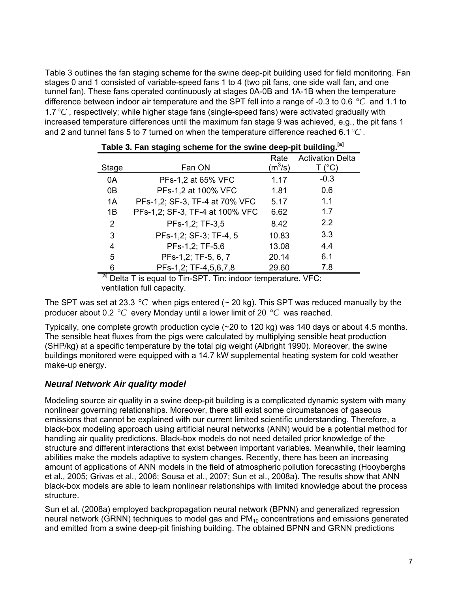Table 3 outlines the fan staging scheme for the swine deep-pit building used for field monitoring. Fan stages 0 and 1 consisted of variable-speed fans 1 to 4 (two pit fans, one side wall fan, and one tunnel fan). These fans operated continuously at stages 0A-0B and 1A-1B when the temperature difference between indoor air temperature and the SPT fell into a range of -0.3 to 0.6 °*C* and 1.1 to 1.7°*C* , respectively; while higher stage fans (single-speed fans) were activated gradually with increased temperature differences until the maximum fan stage 9 was achieved, e.g., the pit fans 1 and 2 and tunnel fans 5 to 7 turned on when the temperature difference reached 6.1°*C* .

| ືອື່           |                                 |           |                         |  |  |
|----------------|---------------------------------|-----------|-------------------------|--|--|
|                |                                 | Rate      | <b>Activation Delta</b> |  |  |
| Stage          | Fan ON                          | $(m^3/s)$ | $(^{\circ}C)$           |  |  |
| 0A             | PFs-1,2 at 65% VFC              | 1.17      | $-0.3$                  |  |  |
| 0 <sub>B</sub> | PFs-1,2 at 100% VFC             | 1.81      | 0.6                     |  |  |
| 1A             | PFs-1,2; SF-3, TF-4 at 70% VFC  | 5.17      | 1.1                     |  |  |
| 1B             | PFs-1,2; SF-3, TF-4 at 100% VFC | 6.62      | 1.7                     |  |  |
| 2              | PFs-1,2; TF-3,5                 | 8.42      | 2.2                     |  |  |
| 3              | PFs-1,2; SF-3; TF-4, 5          | 10.83     | 3.3                     |  |  |
| 4              | PFs-1,2; TF-5,6                 | 13.08     | 4.4                     |  |  |
| 5              | PFs-1,2; TF-5, 6, 7             | 20.14     | 6.1                     |  |  |
| 6              | PFs-1,2; TF-4,5,6,7,8           | 29.60     | 7.8                     |  |  |

|  |  | Table 3. Fan staging scheme for the swine deep-pit building. [a] |  |  |  |
|--|--|------------------------------------------------------------------|--|--|--|
|--|--|------------------------------------------------------------------|--|--|--|

<sup>[a]</sup> Delta T is equal to Tin-SPT. Tin: indoor temperature. VFC: ventilation full capacity.

The SPT was set at 23.3  $\degree$ C when pigs entered ( $\sim$  20 kg). This SPT was reduced manually by the producer about 0.2 °*C* every Monday until a lower limit of 20 °*C* was reached.

Typically, one complete growth production cycle (~20 to 120 kg) was 140 days or about 4.5 months. The sensible heat fluxes from the pigs were calculated by multiplying sensible heat production (SHP/kg) at a specific temperature by the total pig weight (Albright 1990). Moreover, the swine buildings monitored were equipped with a 14.7 kW supplemental heating system for cold weather make-up energy.

### *Neural Network Air quality model*

Modeling source air quality in a swine deep-pit building is a complicated dynamic system with many nonlinear governing relationships. Moreover, there still exist some circumstances of gaseous emissions that cannot be explained with our current limited scientific understanding. Therefore, a black-box modeling approach using artificial neural networks (ANN) would be a potential method for handling air quality predictions. Black-box models do not need detailed prior knowledge of the structure and different interactions that exist between important variables. Meanwhile, their learning abilities make the models adaptive to system changes. Recently, there has been an increasing amount of applications of ANN models in the field of atmospheric pollution forecasting (Hooyberghs et al., 2005; Grivas et al., 2006; Sousa et al., 2007; Sun et al., 2008a). The results show that ANN black-box models are able to learn nonlinear relationships with limited knowledge about the process structure.

Sun et al. (2008a) employed backpropagation neural network (BPNN) and generalized regression neural network (GRNN) techniques to model gas and  $PM_{10}$  concentrations and emissions generated and emitted from a swine deep-pit finishing building. The obtained BPNN and GRNN predictions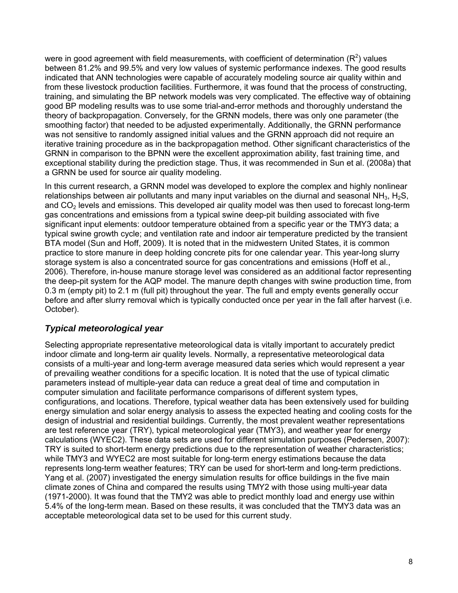were in good agreement with field measurements, with coefficient of determination ( $R^2$ ) values between 81.2% and 99.5% and very low values of systemic performance indexes. The good results indicated that ANN technologies were capable of accurately modeling source air quality within and from these livestock production facilities. Furthermore, it was found that the process of constructing, training, and simulating the BP network models was very complicated. The effective way of obtaining good BP modeling results was to use some trial-and-error methods and thoroughly understand the theory of backpropagation. Conversely, for the GRNN models, there was only one parameter (the smoothing factor) that needed to be adjusted experimentally. Additionally, the GRNN performance was not sensitive to randomly assigned initial values and the GRNN approach did not require an iterative training procedure as in the backpropagation method. Other significant characteristics of the GRNN in comparison to the BPNN were the excellent approximation ability, fast training time, and exceptional stability during the prediction stage. Thus, it was recommended in Sun et al. (2008a) that a GRNN be used for source air quality modeling.

In this current research, a GRNN model was developed to explore the complex and highly nonlinear relationships between air pollutants and many input variables on the diurnal and seasonal  $NH<sub>3</sub>$ , H<sub>2</sub>S, and CO<sub>2</sub> levels and emissions. This developed air quality model was then used to forecast long-term gas concentrations and emissions from a typical swine deep-pit building associated with five significant input elements: outdoor temperature obtained from a specific year or the TMY3 data; a typical swine growth cycle; and ventilation rate and indoor air temperature predicted by the transient BTA model (Sun and Hoff, 2009). It is noted that in the midwestern United States, it is common practice to store manure in deep holding concrete pits for one calendar year. This year-long slurry storage system is also a concentrated source for gas concentrations and emissions (Hoff et al., 2006). Therefore, in-house manure storage level was considered as an additional factor representing the deep-pit system for the AQP model. The manure depth changes with swine production time, from 0.3 m (empty pit) to 2.1 m (full pit) throughout the year. The full and empty events generally occur before and after slurry removal which is typically conducted once per year in the fall after harvest (i.e. October).

### *Typical meteorological year*

Selecting appropriate representative meteorological data is vitally important to accurately predict indoor climate and long-term air quality levels. Normally, a representative meteorological data consists of a multi-year and long-term average measured data series which would represent a year of prevailing weather conditions for a specific location. It is noted that the use of typical climatic parameters instead of multiple-year data can reduce a great deal of time and computation in computer simulation and facilitate performance comparisons of different system types, configurations, and locations. Therefore, typical weather data has been extensively used for building energy simulation and solar energy analysis to assess the expected heating and cooling costs for the design of industrial and residential buildings. Currently, the most prevalent weather representations are test reference year (TRY), typical meteorological year (TMY3), and weather year for energy calculations (WYEC2). These data sets are used for different simulation purposes (Pedersen, 2007): TRY is suited to short-term energy predictions due to the representation of weather characteristics; while TMY3 and WYEC2 are most suitable for long-term energy estimations because the data represents long-term weather features; TRY can be used for short-term and long-term predictions. Yang et al. (2007) investigated the energy simulation results for office buildings in the five main climate zones of China and compared the results using TMY2 with those using multi-year data (1971-2000). It was found that the TMY2 was able to predict monthly load and energy use within 5.4% of the long-term mean. Based on these results, it was concluded that the TMY3 data was an acceptable meteorological data set to be used for this current study.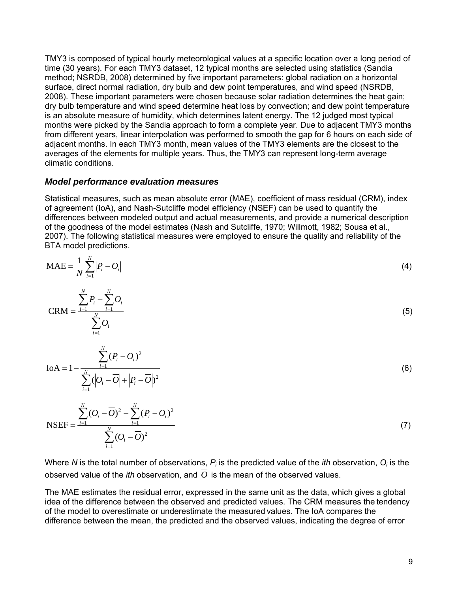TMY3 is composed of typical hourly meteorological values at a specific location over a long period of time (30 years). For each TMY3 dataset, 12 typical months are selected using statistics (Sandia method; NSRDB, 2008) determined by five important parameters: global radiation on a horizontal surface, direct normal radiation, dry bulb and dew point temperatures, and wind speed (NSRDB, 2008). These important parameters were chosen because solar radiation determines the heat gain; dry bulb temperature and wind speed determine heat loss by convection; and dew point temperature is an absolute measure of humidity, which determines latent energy. The 12 judged most typical months were picked by the Sandia approach to form a complete year. Due to adjacent TMY3 months from different years, linear interpolation was performed to smooth the gap for 6 hours on each side of adjacent months. In each TMY3 month, mean values of the TMY3 elements are the closest to the averages of the elements for multiple years. Thus, the TMY3 can represent long-term average climatic conditions.

#### *Model performance evaluation measures*

*N*

Statistical measures, such as mean absolute error (MAE), coefficient of mass residual (CRM), index of agreement (IoA), and Nash-Sutcliffe model efficiency (NSEF) can be used to quantify the differences between modeled output and actual measurements, and provide a numerical description of the goodness of the model estimates (Nash and Sutcliffe, 1970; Willmott, 1982; Sousa et al., 2007). The following statistical measures were employed to ensure the quality and reliability of the BTA model predictions.

$$
MAE = \frac{1}{N} \sum_{i=1}^{N} |P_i - O_i|
$$
 (4)

$$
CRM = \frac{\sum_{i=1}^{N} P_i - \sum_{i=1}^{N} O_i}{\sum_{i=1}^{N} O_i}
$$
\n(5)

$$
IoA = 1 - \frac{\sum_{i=1}^{r} (P_i - O_i)^2}{\sum_{i=1}^{N} (Q_i - \overline{O}| + |P_i - \overline{O}|)^2}
$$
(6)

NSEF = 
$$
\frac{\sum_{i=1}^{N} (O_i - \overline{O})^2 - \sum_{i=1}^{N} (P_i - O_i)^2}{\sum_{i=1}^{N} (O_i - \overline{O})^2}
$$
 (7)

Where *N* is the total number of observations, *Pi* is the predicted value of the *ith* observation, *Oi* is the observed value of the *ith* observation, and  $\overline{O}$  is the mean of the observed values.

The MAE estimates the residual error, expressed in the same unit as the data, which gives a global idea of the difference between the observed and predicted values. The CRM measures the tendency of the model to overestimate or underestimate the measured values. The IoA compares the difference between the mean, the predicted and the observed values, indicating the degree of error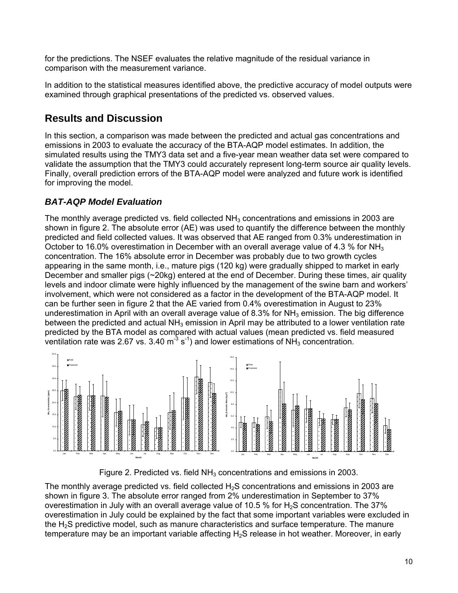for the predictions. The NSEF evaluates the relative magnitude of the residual variance in comparison with the measurement variance.

In addition to the statistical measures identified above, the predictive accuracy of model outputs were examined through graphical presentations of the predicted vs. observed values.

# **Results and Discussion**

In this section, a comparison was made between the predicted and actual gas concentrations and emissions in 2003 to evaluate the accuracy of the BTA-AQP model estimates. In addition, the simulated results using the TMY3 data set and a five-year mean weather data set were compared to validate the assumption that the TMY3 could accurately represent long-term source air quality levels. Finally, overall prediction errors of the BTA-AQP model were analyzed and future work is identified for improving the model.

## *BAT-AQP Model Evaluation*

The monthly average predicted vs. field collected  $NH<sub>3</sub>$  concentrations and emissions in 2003 are shown in figure 2. The absolute error (AE) was used to quantify the difference between the monthly predicted and field collected values. It was observed that AE ranged from 0.3% underestimation in October to 16.0% overestimation in December with an overall average value of 4.3 % for NH<sub>3</sub> concentration. The 16% absolute error in December was probably due to two growth cycles appearing in the same month, i.e., mature pigs (120 kg) were gradually shipped to market in early December and smaller pigs (~20kg) entered at the end of December. During these times, air quality levels and indoor climate were highly influenced by the management of the swine barn and workers' involvement, which were not considered as a factor in the development of the BTA-AQP model. It can be further seen in figure 2 that the AE varied from 0.4% overestimation in August to 23% underestimation in April with an overall average value of 8.3% for  $NH<sub>3</sub>$  emission. The big difference between the predicted and actual  $NH<sub>3</sub>$  emission in April may be attributed to a lower ventilation rate predicted by the BTA model as compared with actual values (mean predicted vs. field measured ventilation rate was 2.67 vs. 3.40  $m^3 s^1$ ) and lower estimations of NH<sub>3</sub> concentration.



Figure 2. Predicted vs. field  $NH<sub>3</sub>$  concentrations and emissions in 2003.

The monthly average predicted vs. field collected  $H<sub>2</sub>S$  concentrations and emissions in 2003 are shown in figure 3. The absolute error ranged from 2% underestimation in September to 37% overestimation in July with an overall average value of 10.5 % for H2S concentration. The 37% overestimation in July could be explained by the fact that some important variables were excluded in the  $H<sub>2</sub>S$  predictive model, such as manure characteristics and surface temperature. The manure temperature may be an important variable affecting  $H_2S$  release in hot weather. Moreover, in early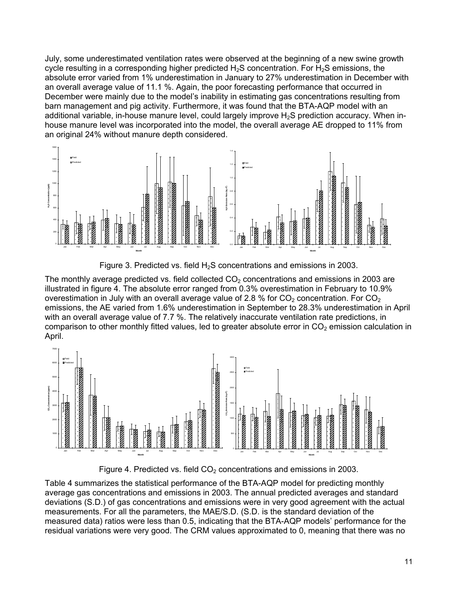July, some underestimated ventilation rates were observed at the beginning of a new swine growth cycle resulting in a corresponding higher predicted  $H_2S$  concentration. For  $H_2S$  emissions, the absolute error varied from 1% underestimation in January to 27% underestimation in December with an overall average value of 11.1 %. Again, the poor forecasting performance that occurred in December were mainly due to the model's inability in estimating gas concentrations resulting from barn management and pig activity. Furthermore, it was found that the BTA-AQP model with an additional variable, in-house manure level, could largely improve H<sub>2</sub>S prediction accuracy. When inhouse manure level was incorporated into the model, the overall average AE dropped to 11% from an original 24% without manure depth considered.



Figure 3. Predicted vs. field  $H_2S$  concentrations and emissions in 2003.

The monthly average predicted vs. field collected  $CO<sub>2</sub>$  concentrations and emissions in 2003 are illustrated in figure 4. The absolute error ranged from 0.3% overestimation in February to 10.9% overestimation in July with an overall average value of 2.8 % for  $CO<sub>2</sub>$  concentration. For  $CO<sub>2</sub>$ emissions, the AE varied from 1.6% underestimation in September to 28.3% underestimation in April with an overall average value of 7.7 %. The relatively inaccurate ventilation rate predictions, in comparison to other monthly fitted values, led to greater absolute error in  $CO<sub>2</sub>$  emission calculation in April.



Figure 4. Predicted vs. field  $CO<sub>2</sub>$  concentrations and emissions in 2003.

Table 4 summarizes the statistical performance of the BTA-AQP model for predicting monthly average gas concentrations and emissions in 2003. The annual predicted averages and standard deviations (S.D.) of gas concentrations and emissions were in very good agreement with the actual measurements. For all the parameters, the MAE/S.D. (S.D. is the standard deviation of the measured data) ratios were less than 0.5, indicating that the BTA-AQP models' performance for the residual variations were very good. The CRM values approximated to 0, meaning that there was no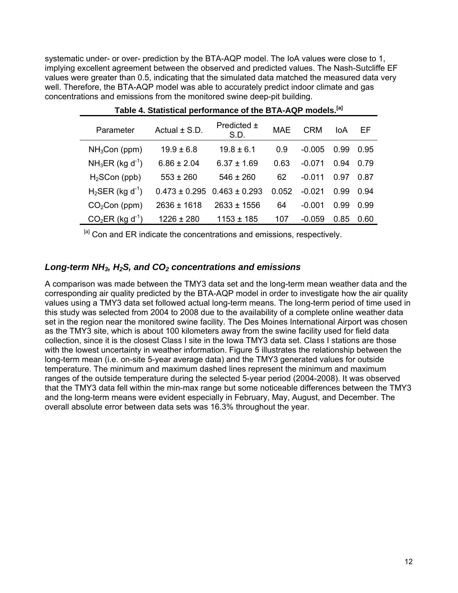systematic under- or over- prediction by the BTA-AQP model. The IoA values were close to 1, implying excellent agreement between the observed and predicted values. The Nash-Sutcliffe EF values were greater than 0.5, indicating that the simulated data matched the measured data very well. Therefore, the BTA-AQP model was able to accurately predict indoor climate and gas concentrations and emissions from the monitored swine deep-pit building.

| $\frac{1}{2}$ and $\frac{1}{2}$ . Olderstrange formative of the DTA-AQT includes. |                   |                     |       |            |      |      |  |
|-----------------------------------------------------------------------------------|-------------------|---------------------|-------|------------|------|------|--|
| Parameter                                                                         | Actual $\pm$ S.D. | Predicted ±<br>S.D. | MAE   | <b>CRM</b> | loA  | EF   |  |
| $NH3Con$ (ppm)                                                                    | $19.9 \pm 6.8$    | $19.8 \pm 6.1$      | 0.9   | $-0.005$   | 0.99 | 0.95 |  |
| $NH3ER$ (kg d <sup>-1</sup> )                                                     | $6.86 \pm 2.04$   | $6.37 \pm 1.69$     | 0.63  | $-0.071$   | 0.94 | በ 79 |  |
| $H2SCon$ (ppb)                                                                    | $553 \pm 260$     | $546 \pm 260$       | 62    | $-0.011$   | 0.97 | 0.87 |  |
| $H2SER (kg d-1)$                                                                  | $0.473 \pm 0.295$ | $0.463 \pm 0.293$   | 0.052 | $-0.021$   | 0.99 | 0.94 |  |
| $CO2Con$ (ppm)                                                                    | $2636 \pm 1618$   | $2633 \pm 1556$     | 64    | $-0.001$   | 0.99 | 0.99 |  |
| $CO2ER (kg d-1)$                                                                  | $1226 \pm 280$    | $1153 \pm 185$      | 107   | $-0.059$   | 0.85 | 0.60 |  |

**Table 4. Statistical performance of the BTA-AQP models.[a]**

[a] Con and ER indicate the concentrations and emissions, respectively.

## Long-term NH<sub>3</sub>, H<sub>2</sub>S, and CO<sub>2</sub> concentrations and emissions

A comparison was made between the TMY3 data set and the long-term mean weather data and the corresponding air quality predicted by the BTA-AQP model in order to investigate how the air quality values using a TMY3 data set followed actual long-term means. The long-term period of time used in this study was selected from 2004 to 2008 due to the availability of a complete online weather data set in the region near the monitored swine facility. The Des Moines International Airport was chosen as the TMY3 site, which is about 100 kilometers away from the swine facility used for field data collection, since it is the closest Class I site in the Iowa TMY3 data set. Class I stations are those with the lowest uncertainty in weather information. Figure 5 illustrates the relationship between the long-term mean (i.e. on-site 5-year average data) and the TMY3 generated values for outside temperature. The minimum and maximum dashed lines represent the minimum and maximum ranges of the outside temperature during the selected 5-year period (2004-2008). It was observed that the TMY3 data fell within the min-max range but some noticeable differences between the TMY3 and the long-term means were evident especially in February, May, August, and December. The overall absolute error between data sets was 16.3% throughout the year.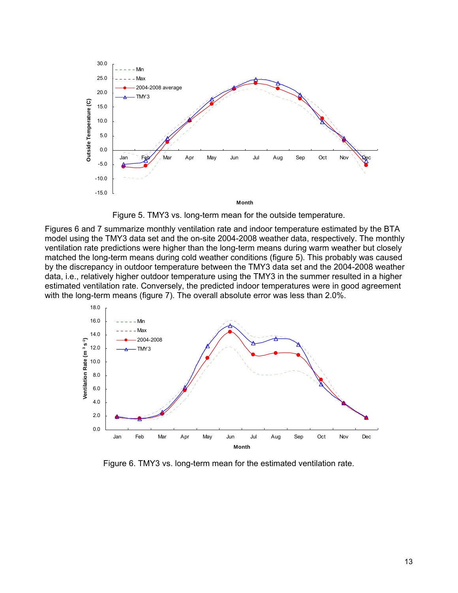

Figure 5. TMY3 vs. long-term mean for the outside temperature.

Figures 6 and 7 summarize monthly ventilation rate and indoor temperature estimated by the BTA model using the TMY3 data set and the on-site 2004-2008 weather data, respectively. The monthly ventilation rate predictions were higher than the long-term means during warm weather but closely matched the long-term means during cold weather conditions (figure 5). This probably was caused by the discrepancy in outdoor temperature between the TMY3 data set and the 2004-2008 weather data, i.e., relatively higher outdoor temperature using the TMY3 in the summer resulted in a higher estimated ventilation rate. Conversely, the predicted indoor temperatures were in good agreement with the long-term means (figure 7). The overall absolute error was less than 2.0%.



Figure 6. TMY3 vs. long-term mean for the estimated ventilation rate.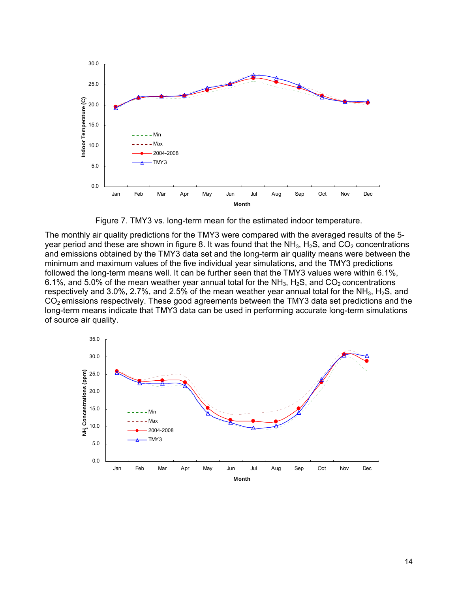

Figure 7. TMY3 vs. long-term mean for the estimated indoor temperature.

The monthly air quality predictions for the TMY3 were compared with the averaged results of the 5 year period and these are shown in figure 8. It was found that the  $NH_3$ , H<sub>2</sub>S, and CO<sub>2</sub> concentrations and emissions obtained by the TMY3 data set and the long-term air quality means were between the minimum and maximum values of the five individual year simulations, and the TMY3 predictions followed the long-term means well. It can be further seen that the TMY3 values were within 6.1%, 6.1%, and 5.0% of the mean weather year annual total for the NH<sub>3</sub>, H<sub>2</sub>S, and CO<sub>2</sub> concentrations respectively and 3.0%, 2.7%, and 2.5% of the mean weather year annual total for the NH<sub>3</sub>, H<sub>2</sub>S, and  $CO<sub>2</sub>$  emissions respectively. These good agreements between the TMY3 data set predictions and the long-term means indicate that TMY3 data can be used in performing accurate long-term simulations of source air quality.

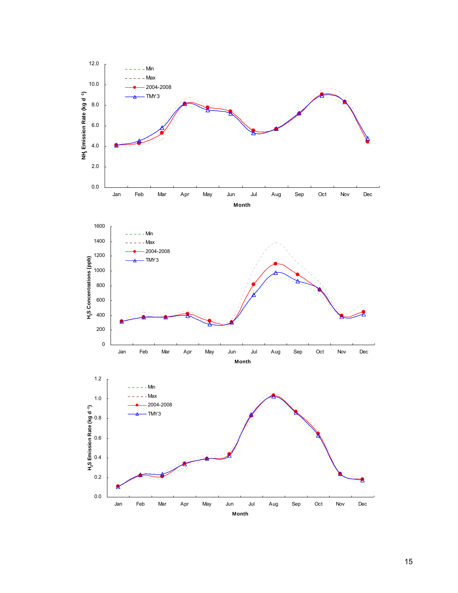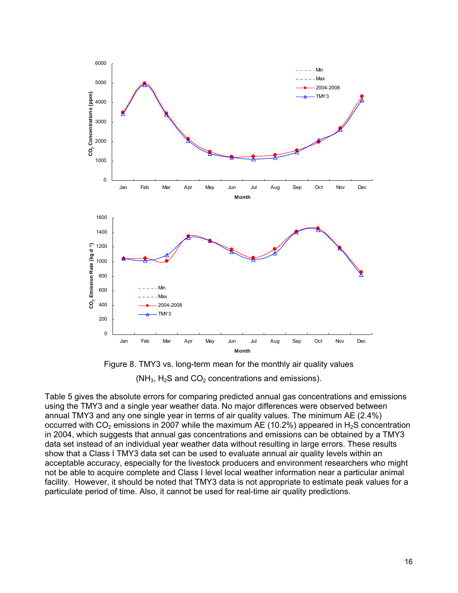

Figure 8. TMY3 vs. long-term mean for the monthly air quality values

 $(NH<sub>3</sub>, H<sub>2</sub>S and CO<sub>2</sub> concentrations and emissions).$ 

Table 5 gives the absolute errors for comparing predicted annual gas concentrations and emissions using the TMY3 and a single year weather data. No major differences were observed between annual TMY3 and any one single year in terms of air quality values. The minimum AE (2.4%) occurred with  $CO_2$  emissions in 2007 while the maximum AE (10.2%) appeared in H<sub>2</sub>S concentration in 2004, which suggests that annual gas concentrations and emissions can be obtained by a TMY3 data set instead of an individual year weather data without resulting in large errors. These results show that a Class I TMY3 data set can be used to evaluate annual air quality levels within an acceptable accuracy, especially for the livestock producers and environment researchers who might not be able to acquire complete and Class I level local weather information near a particular animal facility. However, it should be noted that TMY3 data is not appropriate to estimate peak values for a particulate period of time. Also, it cannot be used for real-time air quality predictions.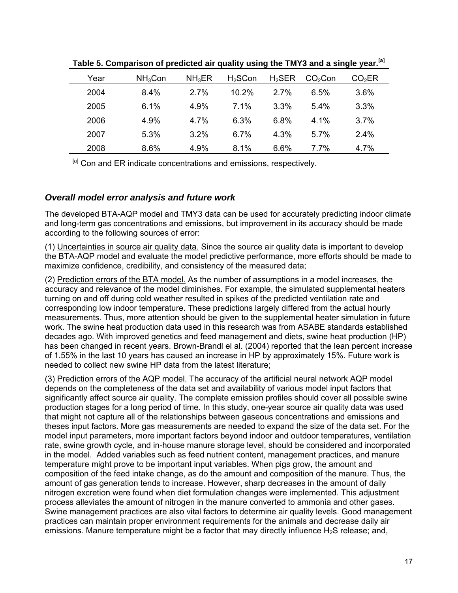| Year | NH <sub>3</sub> Con | NH <sub>3</sub> ER | H <sub>2</sub> SCon | H <sub>2</sub> SER | CO <sub>2</sub> Con | CO <sub>2</sub> ER |
|------|---------------------|--------------------|---------------------|--------------------|---------------------|--------------------|
| 2004 | $8.4\%$             | 2.7%               | $10.2\%$            | $2.7\%$            | 6.5%                | 3.6%               |
| 2005 | 6.1%                | 4.9%               | 7.1%                | 3.3%               | 54%                 | 3.3%               |
| 2006 | 4.9%                | 4.7%               | 6.3%                | 6.8%               | 4 1%                | 3.7%               |
| 2007 | 5.3%                | 3.2%               | 6.7%                | 4.3%               | 57%                 | 2.4%               |
| 2008 | 8.6%                | 4.9%               | 8.1%                | 6.6%               | $7.7\%$             | 4.7%               |

**Table 5. Comparison of predicted air quality using the TMY3 and a single year.[a]**

<sup>[a]</sup> Con and ER indicate concentrations and emissions, respectively.

#### *Overall model error analysis and future work*

The developed BTA-AQP model and TMY3 data can be used for accurately predicting indoor climate and long-term gas concentrations and emissions, but improvement in its accuracy should be made according to the following sources of error:

(1) Uncertainties in source air quality data. Since the source air quality data is important to develop the BTA-AQP model and evaluate the model predictive performance, more efforts should be made to maximize confidence, credibility, and consistency of the measured data;

(2) Prediction errors of the BTA model. As the number of assumptions in a model increases, the accuracy and relevance of the model diminishes. For example, the simulated supplemental heaters turning on and off during cold weather resulted in spikes of the predicted ventilation rate and corresponding low indoor temperature. These predictions largely differed from the actual hourly measurements. Thus, more attention should be given to the supplemental heater simulation in future work. The swine heat production data used in this research was from ASABE standards established decades ago. With improved genetics and feed management and diets, swine heat production (HP) has been changed in recent years. Brown-Brandl el al. (2004) reported that the lean percent increase of 1.55% in the last 10 years has caused an increase in HP by approximately 15%. Future work is needed to collect new swine HP data from the latest literature;

(3) Prediction errors of the AQP model. The accuracy of the artificial neural network AQP model depends on the completeness of the data set and availability of various model input factors that significantly affect source air quality. The complete emission profiles should cover all possible swine production stages for a long period of time. In this study, one-year source air quality data was used that might not capture all of the relationships between gaseous concentrations and emissions and theses input factors. More gas measurements are needed to expand the size of the data set. For the model input parameters, more important factors beyond indoor and outdoor temperatures, ventilation rate, swine growth cycle, and in-house manure storage level, should be considered and incorporated in the model. Added variables such as feed nutrient content, management practices, and manure temperature might prove to be important input variables. When pigs grow, the amount and composition of the feed intake change, as do the amount and composition of the manure. Thus, the amount of gas generation tends to increase. However, sharp decreases in the amount of daily nitrogen excretion were found when diet formulation changes were implemented. This adjustment process alleviates the amount of nitrogen in the manure converted to ammonia and other gases. Swine management practices are also vital factors to determine air quality levels. Good management practices can maintain proper environment requirements for the animals and decrease daily air emissions. Manure temperature might be a factor that may directly influence  $H_2S$  release; and,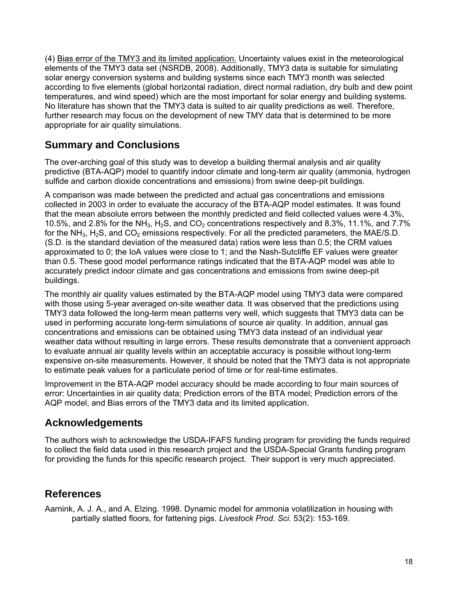(4) Bias error of the TMY3 and its limited application. Uncertainty values exist in the meteorological elements of the TMY3 data set (NSRDB, 2008). Additionally, TMY3 data is suitable for simulating solar energy conversion systems and building systems since each TMY3 month was selected according to five elements (global horizontal radiation, direct normal radiation, dry bulb and dew point temperatures, and wind speed) which are the most important for solar energy and building systems. No literature has shown that the TMY3 data is suited to air quality predictions as well. Therefore, further research may focus on the development of new TMY data that is determined to be more appropriate for air quality simulations.

# **Summary and Conclusions**

The over-arching goal of this study was to develop a building thermal analysis and air quality predictive (BTA-AQP) model to quantify indoor climate and long-term air quality (ammonia, hydrogen sulfide and carbon dioxide concentrations and emissions) from swine deep-pit buildings.

A comparison was made between the predicted and actual gas concentrations and emissions collected in 2003 in order to evaluate the accuracy of the BTA-AQP model estimates. It was found that the mean absolute errors between the monthly predicted and field collected values were 4.3%, 10.5%, and 2.8% for the NH<sub>3</sub>, H<sub>2</sub>S, and CO<sub>2</sub> concentrations respectively and 8.3%, 11.1%, and 7.7% for the NH<sub>3</sub>, H<sub>2</sub>S, and CO<sub>2</sub> emissions respectively. For all the predicted parameters, the MAE/S.D. (S.D. is the standard deviation of the measured data) ratios were less than 0.5; the CRM values approximated to 0; the IoA values were close to 1; and the Nash-Sutcliffe EF values were greater than 0.5. These good model performance ratings indicated that the BTA-AQP model was able to accurately predict indoor climate and gas concentrations and emissions from swine deep-pit buildings.

The monthly air quality values estimated by the BTA-AQP model using TMY3 data were compared with those using 5-year averaged on-site weather data. It was observed that the predictions using TMY3 data followed the long-term mean patterns very well, which suggests that TMY3 data can be used in performing accurate long-term simulations of source air quality. In addition, annual gas concentrations and emissions can be obtained using TMY3 data instead of an individual year weather data without resulting in large errors. These results demonstrate that a convenient approach to evaluate annual air quality levels within an acceptable accuracy is possible without long-term expensive on-site measurements. However, it should be noted that the TMY3 data is not appropriate to estimate peak values for a particulate period of time or for real-time estimates.

Improvement in the BTA-AQP model accuracy should be made according to four main sources of error: Uncertainties in air quality data; Prediction errors of the BTA model; Prediction errors of the AQP model, and Bias errors of the TMY3 data and its limited application.

# **Acknowledgements**

The authors wish to acknowledge the USDA-IFAFS funding program for providing the funds required to collect the field data used in this research project and the USDA-Special Grants funding program for providing the funds for this specific research project. Their support is very much appreciated.

# **References**

Aarnink, A. J. A., and A. Elzing. 1998. Dynamic model for ammonia volatilization in housing with partially slatted floors, for fattening pigs. *Livestock Prod. Sci.* 53(2): 153-169.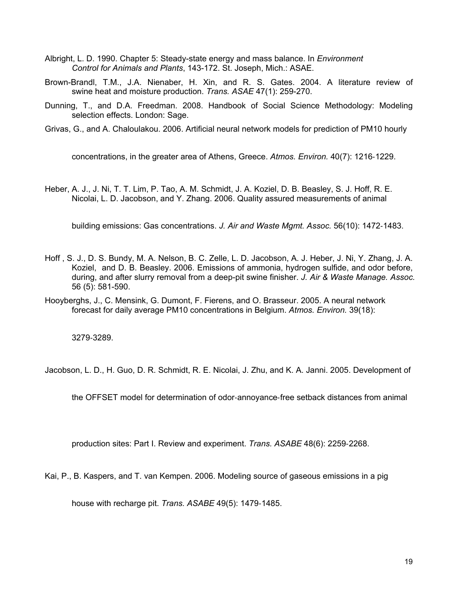- Albright, L. D. 1990. Chapter 5: Steady-state energy and mass balance. In *Environment Control for Animals and Plants*, 143-172. St. Joseph, Mich.: ASAE.
- Brown-Brandl, T.M., J.A. Nienaber, H. Xin, and R. S. Gates. 2004. A literature review of swine heat and moisture production. *Trans. ASAE* 47(1): 259-270.
- Dunning, T., and D.A. Freedman. 2008. Handbook of Social Science Methodology: Modeling selection effects. London: Sage.
- Grivas, G., and A. Chaloulakou. 2006. Artificial neural network models for prediction of PM10 hourly

concentrations, in the greater area of Athens, Greece. *Atmos. Environ.* 40(7): 1216‐1229.

Heber, A. J., J. Ni, T. T. Lim, P. Tao, A. M. Schmidt, J. A. Koziel, D. B. Beasley, S. J. Hoff, R. E. Nicolai, L. D. Jacobson, and Y. Zhang. 2006. Quality assured measurements of animal

building emissions: Gas concentrations. *J. Air and Waste Mgmt. Assoc.* 56(10): 1472‐1483.

- Hoff , S. J., D. S. Bundy, M. A. Nelson, B. C. Zelle, L. D. Jacobson, A. J. Heber, J. Ni, Y. Zhang, J. A. Koziel, and D. B. Beasley. 2006. Emissions of ammonia, hydrogen sulfide, and odor before, during, and after slurry removal from a deep-pit swine finisher. *J. Air & Waste Manage. Assoc.* 56 (5): 581-590.
- Hooyberghs, J., C. Mensink, G. Dumont, F. Fierens, and O. Brasseur. 2005. A neural network forecast for daily average PM10 concentrations in Belgium. *Atmos. Environ.* 39(18):

3279‐3289.

Jacobson, L. D., H. Guo, D. R. Schmidt, R. E. Nicolai, J. Zhu, and K. A. Janni. 2005. Development of

the OFFSET model for determination of odor‐annoyance‐free setback distances from animal

production sites: Part I. Review and experiment. *Trans. ASABE* 48(6): 2259‐2268.

Kai, P., B. Kaspers, and T. van Kempen. 2006. Modeling source of gaseous emissions in a pig

house with recharge pit. *Trans. ASABE* 49(5): 1479‐1485.